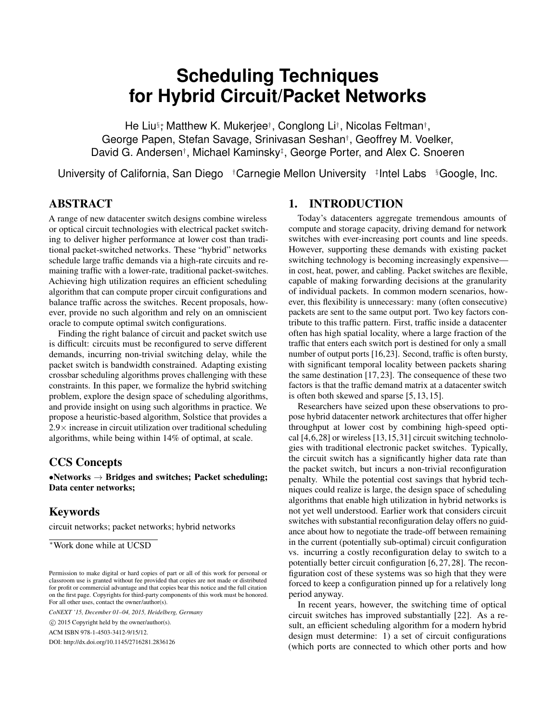# **Scheduling Techniques for Hybrid Circuit/Packet Networks**

He Liu<sup>§</sup>; Matthew K. Mukerjee†, Conglong Li†, Nicolas Feltman†, George Papen, Stefan Savage, Srinivasan Seshan† , Geoffrey M. Voelker, David G. Andersen† , Michael Kaminsky‡ , George Porter, and Alex C. Snoeren

University of California, San Diego †Carnegie Mellon University #Intel Labs § Google, Inc.

# ABSTRACT

A range of new datacenter switch designs combine wireless or optical circuit technologies with electrical packet switching to deliver higher performance at lower cost than traditional packet-switched networks. These "hybrid" networks schedule large traffic demands via a high-rate circuits and remaining traffic with a lower-rate, traditional packet-switches. Achieving high utilization requires an efficient scheduling algorithm that can compute proper circuit configurations and balance traffic across the switches. Recent proposals, however, provide no such algorithm and rely on an omniscient oracle to compute optimal switch configurations.

Finding the right balance of circuit and packet switch use is difficult: circuits must be reconfigured to serve different demands, incurring non-trivial switching delay, while the packet switch is bandwidth constrained. Adapting existing crossbar scheduling algorithms proves challenging with these constraints. In this paper, we formalize the hybrid switching problem, explore the design space of scheduling algorithms, and provide insight on using such algorithms in practice. We propose a heuristic-based algorithm, Solstice that provides a  $2.9\times$  increase in circuit utilization over traditional scheduling algorithms, while being within 14% of optimal, at scale.

# CCS Concepts

 $\bullet$ Networks  $\rightarrow$  Bridges and switches; Packet scheduling; Data center networks;

# Keywords

circuit networks; packet networks; hybrid networks

*CoNEXT '15, December 01–04, 2015, Heidelberg, Germany*

 $\circ$  2015 Copyright held by the owner/author(s).

ACM ISBN 978-1-4503-3412-9/15/12.

DOI: http://dx.doi.org/10.1145/2716281.2836126

# 1. INTRODUCTION

Today's datacenters aggregate tremendous amounts of compute and storage capacity, driving demand for network switches with ever-increasing port counts and line speeds. However, supporting these demands with existing packet switching technology is becoming increasingly expensive in cost, heat, power, and cabling. Packet switches are flexible, capable of making forwarding decisions at the granularity of individual packets. In common modern scenarios, however, this flexibility is unnecessary: many (often consecutive) packets are sent to the same output port. Two key factors contribute to this traffic pattern. First, traffic inside a datacenter often has high spatial locality, where a large fraction of the traffic that enters each switch port is destined for only a small number of output ports [16,23]. Second, traffic is often bursty, with significant temporal locality between packets sharing the same destination [17, 23]. The consequence of these two factors is that the traffic demand matrix at a datacenter switch is often both skewed and sparse [5, 13, 15].

Researchers have seized upon these observations to propose hybrid datacenter network architectures that offer higher throughput at lower cost by combining high-speed optical [4,6,28] or wireless [13,15,31] circuit switching technologies with traditional electronic packet switches. Typically, the circuit switch has a significantly higher data rate than the packet switch, but incurs a non-trivial reconfiguration penalty. While the potential cost savings that hybrid techniques could realize is large, the design space of scheduling algorithms that enable high utilization in hybrid networks is not yet well understood. Earlier work that considers circuit switches with substantial reconfiguration delay offers no guidance about how to negotiate the trade-off between remaining in the current (potentially sub-optimal) circuit configuration vs. incurring a costly reconfiguration delay to switch to a potentially better circuit configuration [6, 27, 28]. The reconfiguration cost of these systems was so high that they were forced to keep a configuration pinned up for a relatively long period anyway.

In recent years, however, the switching time of optical circuit switches has improved substantially [22]. As a result, an efficient scheduling algorithm for a modern hybrid design must determine: 1) a set of circuit configurations (which ports are connected to which other ports and how

<sup>∗</sup>Work done while at UCSD

Permission to make digital or hard copies of part or all of this work for personal or classroom use is granted without fee provided that copies are not made or distributed for profit or commercial advantage and that copies bear this notice and the full citation on the first page. Copyrights for third-party components of this work must be honored. For all other uses, contact the owner/author(s).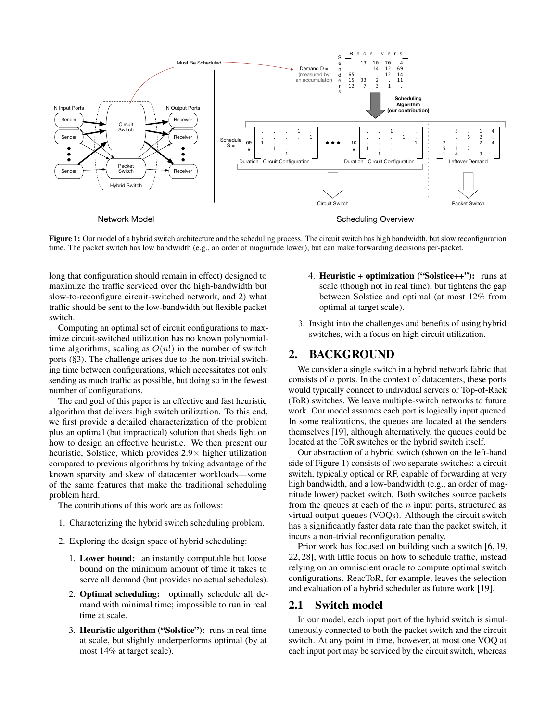

Figure 1: Our model of a hybrid switch architecture and the scheduling process. The circuit switch has high bandwidth, but slow reconfiguration time. The packet switch has low bandwidth (e.g., an order of magnitude lower), but can make forwarding decisions per-packet.

long that configuration should remain in effect) designed to maximize the traffic serviced over the high-bandwidth but slow-to-reconfigure circuit-switched network, and 2) what traffic should be sent to the low-bandwidth but flexible packet switch.

Computing an optimal set of circuit configurations to maximize circuit-switched utilization has no known polynomialtime algorithms, scaling as  $O(n!)$  in the number of switch ports (§3). The challenge arises due to the non-trivial switching time between configurations, which necessitates not only sending as much traffic as possible, but doing so in the fewest number of configurations.

The end goal of this paper is an effective and fast heuristic algorithm that delivers high switch utilization. To this end, we first provide a detailed characterization of the problem plus an optimal (but impractical) solution that sheds light on how to design an effective heuristic. We then present our heuristic, Solstice, which provides  $2.9\times$  higher utilization compared to previous algorithms by taking advantage of the known sparsity and skew of datacenter workloads—some of the same features that make the traditional scheduling problem hard.

The contributions of this work are as follows:

- 1. Characterizing the hybrid switch scheduling problem.
- 2. Exploring the design space of hybrid scheduling:
	- 1. Lower bound: an instantly computable but loose bound on the minimum amount of time it takes to serve all demand (but provides no actual schedules).
	- 2. Optimal scheduling: optimally schedule all demand with minimal time; impossible to run in real time at scale.
	- 3. Heuristic algorithm ("Solstice"): runs in real time at scale, but slightly underperforms optimal (by at most 14% at target scale).
- 4. Heuristic + optimization ("Solstice++"): runs at scale (though not in real time), but tightens the gap between Solstice and optimal (at most 12% from optimal at target scale).
- 3. Insight into the challenges and benefits of using hybrid switches, with a focus on high circuit utilization.

## 2. BACKGROUND

We consider a single switch in a hybrid network fabric that consists of  $n$  ports. In the context of datacenters, these ports would typically connect to individual servers or Top-of-Rack (ToR) switches. We leave multiple-switch networks to future work. Our model assumes each port is logically input queued. In some realizations, the queues are located at the senders themselves [19], although alternatively, the queues could be located at the ToR switches or the hybrid switch itself.

Our abstraction of a hybrid switch (shown on the left-hand side of Figure 1) consists of two separate switches: a circuit switch, typically optical or RF, capable of forwarding at very high bandwidth, and a low-bandwidth (e.g., an order of magnitude lower) packet switch. Both switches source packets from the queues at each of the  $n$  input ports, structured as virtual output queues (VOQs). Although the circuit switch has a significantly faster data rate than the packet switch, it incurs a non-trivial reconfiguration penalty.

Prior work has focused on building such a switch [6, 19, 22, 28], with little focus on how to schedule traffic, instead relying on an omniscient oracle to compute optimal switch configurations. ReacToR, for example, leaves the selection and evaluation of a hybrid scheduler as future work [19].

### 2.1 Switch model

In our model, each input port of the hybrid switch is simultaneously connected to both the packet switch and the circuit switch. At any point in time, however, at most one VOQ at each input port may be serviced by the circuit switch, whereas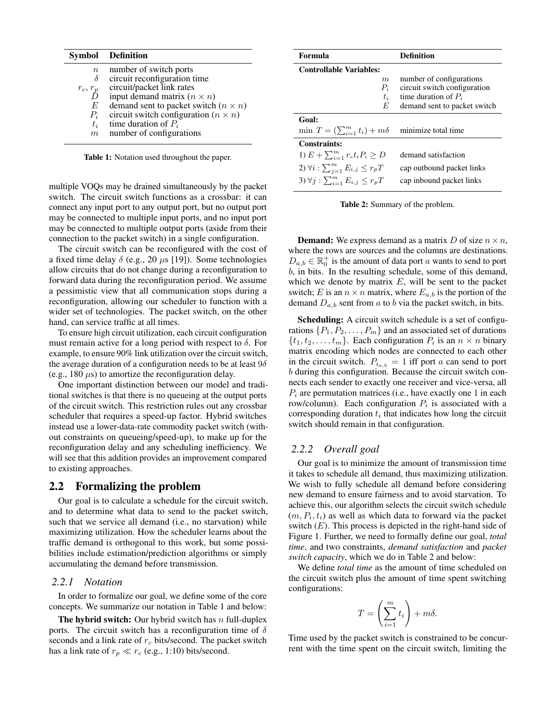|                  | <b>Symbol</b> Definition                      |
|------------------|-----------------------------------------------|
| $\boldsymbol{n}$ | number of switch ports                        |
| δ                | circuit reconfiguration time                  |
| $r_c, r_p$       | circuit/packet link rates                     |
|                  | input demand matrix $(n \times n)$            |
| E                | demand sent to packet switch $(n \times n)$   |
| $P_i$            | circuit switch configuration ( $n \times n$ ) |
| $t_i$            | time duration of $P_i$                        |
| m                | number of configurations                      |

Table 1: Notation used throughout the paper.

multiple VOQs may be drained simultaneously by the packet switch. The circuit switch functions as a crossbar: it can connect any input port to any output port, but no output port may be connected to multiple input ports, and no input port may be connected to multiple output ports (aside from their connection to the packet switch) in a single configuration.

The circuit switch can be reconfigured with the cost of a fixed time delay  $\delta$  (e.g., 20  $\mu$ s [19]). Some technologies allow circuits that do not change during a reconfiguration to forward data during the reconfiguration period. We assume a pessimistic view that all communication stops during a reconfiguration, allowing our scheduler to function with a wider set of technologies. The packet switch, on the other hand, can service traffic at all times.

To ensure high circuit utilization, each circuit configuration must remain active for a long period with respect to  $\delta$ . For example, to ensure 90% link utilization over the circuit switch, the average duration of a configuration needs to be at least  $9\delta$ (e.g., 180  $\mu$ s) to amortize the reconfiguration delay.

One important distinction between our model and traditional switches is that there is no queueing at the output ports of the circuit switch. This restriction rules out any crossbar scheduler that requires a speed-up factor. Hybrid switches instead use a lower-data-rate commodity packet switch (without constraints on queueing/speed-up), to make up for the reconfiguration delay and any scheduling inefficiency. We will see that this addition provides an improvement compared to existing approaches.

# 2.2 Formalizing the problem

Our goal is to calculate a schedule for the circuit switch, and to determine what data to send to the packet switch, such that we service all demand (i.e., no starvation) while maximizing utilization. How the scheduler learns about the traffic demand is orthogonal to this work, but some possibilities include estimation/prediction algorithms or simply accumulating the demand before transmission.

#### *2.2.1 Notation*

In order to formalize our goal, we define some of the core concepts. We summarize our notation in Table 1 and below:

The hybrid switch: Our hybrid switch has  $n$  full-duplex ports. The circuit switch has a reconfiguration time of  $\delta$ seconds and a link rate of  $r_c$  bits/second. The packet switch has a link rate of  $r_p \ll r_c$  (e.g., 1:10) bits/second.

| Formula                                                      | <b>Definition</b>            |  |  |  |
|--------------------------------------------------------------|------------------------------|--|--|--|
| <b>Controllable Variables:</b>                               |                              |  |  |  |
| m                                                            | number of configurations     |  |  |  |
| $P_i$                                                        | circuit switch configuration |  |  |  |
| $t_i$                                                        | time duration of $P_i$       |  |  |  |
| E                                                            | demand sent to packet switch |  |  |  |
| Goal:                                                        |                              |  |  |  |
| min $T = (\sum_{i=1}^{m} t_i) + m\delta$ minimize total time |                              |  |  |  |
| Constraints:                                                 |                              |  |  |  |
| 1) $E + \sum_{i=1}^{m} r_c t_i P_i \geq D$                   | demand satisfaction          |  |  |  |
| 2) $\forall i : \sum_{i=1}^{m} E_{i,j} \leq r_pT$            | cap outbound packet links    |  |  |  |
| 3) $\forall j : \sum_{i=1}^{m} E_{i,j} \leq r_pT$            | cap inbound packet links     |  |  |  |

Table 2: Summary of the problem.

**Demand:** We express demand as a matrix D of size  $n \times n$ , where the rows are sources and the columns are destinations.  $D_{a,b} \in \mathbb{R}_0^+$  is the amount of data port a wants to send to port b, in bits. In the resulting schedule, some of this demand, which we denote by matrix  $E$ , will be sent to the packet switch; E is an  $n \times n$  matrix, where  $E_{a,b}$  is the portion of the demand  $D_{a,b}$  sent from a to b via the packet switch, in bits.

Scheduling: A circuit switch schedule is a set of configurations  $\{P_1, P_2, \ldots, P_m\}$  and an associated set of durations  $\{t_1, t_2, \ldots, t_m\}$ . Each configuration  $P_i$  is an  $n \times n$  binary matrix encoding which nodes are connected to each other in the circuit switch.  $P_{i_{a,b}} = 1$  iff port a can send to port b during this configuration. Because the circuit switch connects each sender to exactly one receiver and vice-versa, all  $P_i$  are permutation matrices (i.e., have exactly one 1 in each row/column). Each configuration  $P_i$  is associated with a corresponding duration  $t_i$  that indicates how long the circuit switch should remain in that configuration.

#### *2.2.2 Overall goal*

Our goal is to minimize the amount of transmission time it takes to schedule all demand, thus maximizing utilization. We wish to fully schedule all demand before considering new demand to ensure fairness and to avoid starvation. To achieve this, our algorithm selects the circuit switch schedule  $(m, P_i, t_i)$  as well as which data to forward via the packet switch  $(E)$ . This process is depicted in the right-hand side of Figure 1. Further, we need to formally define our goal, *total time*, and two constraints, *demand satisfaction* and *packet switch capacity*, which we do in Table 2 and below:

We define *total time* as the amount of time scheduled on the circuit switch plus the amount of time spent switching configurations:

$$
T = \left(\sum_{i=1}^m t_i\right) + m\delta.
$$

Time used by the packet switch is constrained to be concurrent with the time spent on the circuit switch, limiting the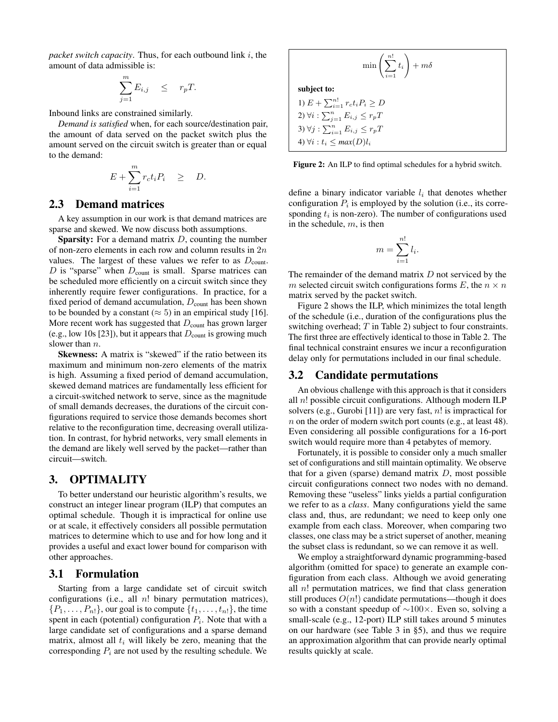*packet switch capacity*. Thus, for each outbound link i, the amount of data admissible is:

$$
\sum_{j=1}^{m} E_{i,j} \leq r_p T.
$$

Inbound links are constrained similarly.

*Demand is satisfied* when, for each source/destination pair, the amount of data served on the packet switch plus the amount served on the circuit switch is greater than or equal to the demand:

$$
E + \sum_{i=1}^{m} r_c t_i P_i \quad \geq \quad D.
$$

## 2.3 Demand matrices

A key assumption in our work is that demand matrices are sparse and skewed. We now discuss both assumptions.

**Sparsity:** For a demand matrix  $D$ , counting the number of non-zero elements in each row and column results in 2n values. The largest of these values we refer to as  $D_{\text{count}}$ .  $D$  is "sparse" when  $D_{\text{count}}$  is small. Sparse matrices can be scheduled more efficiently on a circuit switch since they inherently require fewer configurations. In practice, for a fixed period of demand accumulation,  $D_{\text{count}}$  has been shown to be bounded by a constant ( $\approx$  5) in an empirical study [16]. More recent work has suggested that  $D_{\text{count}}$  has grown larger (e.g., low 10s [23]), but it appears that  $D_{\text{count}}$  is growing much slower than  $n$ .

Skewness: A matrix is "skewed" if the ratio between its maximum and minimum non-zero elements of the matrix is high. Assuming a fixed period of demand accumulation, skewed demand matrices are fundamentally less efficient for a circuit-switched network to serve, since as the magnitude of small demands decreases, the durations of the circuit configurations required to service those demands becomes short relative to the reconfiguration time, decreasing overall utilization. In contrast, for hybrid networks, very small elements in the demand are likely well served by the packet—rather than circuit—switch.

## 3. OPTIMALITY

To better understand our heuristic algorithm's results, we construct an integer linear program (ILP) that computes an optimal schedule. Though it is impractical for online use or at scale, it effectively considers all possible permutation matrices to determine which to use and for how long and it provides a useful and exact lower bound for comparison with other approaches.

#### 3.1 Formulation

Starting from a large candidate set of circuit switch configurations (i.e., all  $n!$  binary permutation matrices),  $\{P_1, \ldots, P_n\}$ , our goal is to compute  $\{t_1, \ldots, t_n\}$ , the time spent in each (potential) configuration  $P_i$ . Note that with a large candidate set of configurations and a sparse demand matrix, almost all  $t_i$  will likely be zero, meaning that the corresponding  $P_i$  are not used by the resulting schedule. We

$$
\min\left(\sum_{i=1}^{n!} t_i\right) + m\delta
$$
\nsubject to:

\n
$$
1) \ E + \sum_{i=1}^{n!} r_c t_i P_i \ge D
$$

2)  $\forall i : \sum_{j=1}^n E_{i,j} \leq r_pT$ 3)  $\forall j : \sum_{i=1}^n E_{i,j} \leq r_p T$ 4)  $\forall i : t_i \leq max(D)l_i$ 

subject to:

Figure 2: An ILP to find optimal schedules for a hybrid switch.

define a binary indicator variable  $l_i$  that denotes whether configuration  $P_i$  is employed by the solution (i.e., its corresponding  $t_i$  is non-zero). The number of configurations used in the schedule,  $m$ , is then

$$
m = \sum_{i=1}^{n!} l_i.
$$

The remainder of the demand matrix  $D$  not serviced by the m selected circuit switch configurations forms E, the  $n \times n$ matrix served by the packet switch.

Figure 2 shows the ILP, which minimizes the total length of the schedule (i.e., duration of the configurations plus the switching overhead;  $T$  in Table 2) subject to four constraints. The first three are effectively identical to those in Table 2. The final technical constraint ensures we incur a reconfiguration delay only for permutations included in our final schedule.

#### 3.2 Candidate permutations

An obvious challenge with this approach is that it considers all  $n!$  possible circuit configurations. Although modern ILP solvers (e.g., Gurobi [11]) are very fast,  $n!$  is impractical for  $n$  on the order of modern switch port counts (e.g., at least 48). Even considering all possible configurations for a 16-port switch would require more than 4 petabytes of memory.

Fortunately, it is possible to consider only a much smaller set of configurations and still maintain optimality. We observe that for a given (sparse) demand matrix  $D$ , most possible circuit configurations connect two nodes with no demand. Removing these "useless" links yields a partial configuration we refer to as a *class*. Many configurations yield the same class and, thus, are redundant; we need to keep only one example from each class. Moreover, when comparing two classes, one class may be a strict superset of another, meaning the subset class is redundant, so we can remove it as well.

We employ a straightforward dynamic programming-based algorithm (omitted for space) to generate an example configuration from each class. Although we avoid generating all  $n!$  permutation matrices, we find that class generation still produces  $O(n!)$  candidate permutations—though it does so with a constant speedup of ∼100×. Even so, solving a small-scale (e.g., 12-port) ILP still takes around 5 minutes on our hardware (see Table 3 in §5), and thus we require an approximation algorithm that can provide nearly optimal results quickly at scale.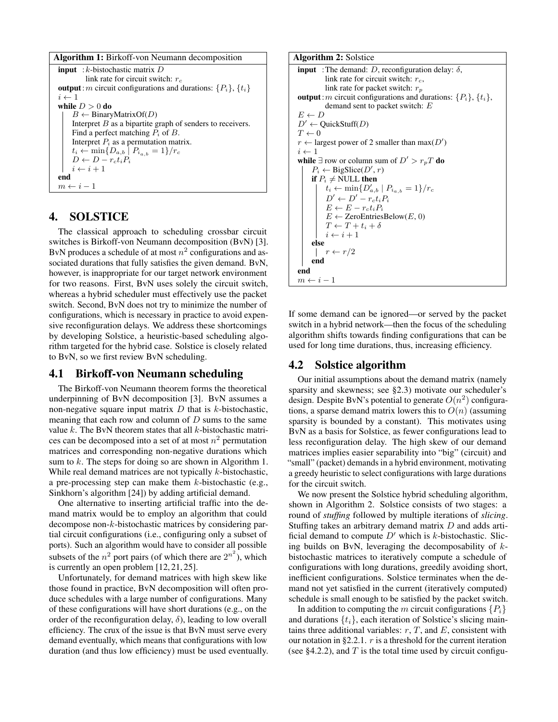```
Algorithm 1: Birkoff-von Neumann decomposition
input : k-bistochastic matrix Dlink rate for circuit switch: r_coutput: m circuit configurations and durations: \{P_i\}, \{t_i\}i \leftarrow 1while D > 0 do
     B \leftarrow BinaryMatrixOf(D)
     Interpret B as a bipartite graph of senders to receivers.
    Find a perfect matching P_i of B.
     Interpret P_i as a permutation matrix.
     t_i \leftarrow \min\{D_{a,b} \mid P_{i_{a,b}} = 1\}/r_cD \leftarrow D - r_c t_i P_ii \leftarrow i + 1end
m \leftarrow i - 1
```
# 4. SOLSTICE

The classical approach to scheduling crossbar circuit switches is Birkoff-von Neumann decomposition (BvN) [3]. BvN produces a schedule of at most  $n^2$  configurations and associated durations that fully satisfies the given demand. BvN, however, is inappropriate for our target network environment for two reasons. First, BvN uses solely the circuit switch, whereas a hybrid scheduler must effectively use the packet switch. Second, BvN does not try to minimize the number of configurations, which is necessary in practice to avoid expensive reconfiguration delays. We address these shortcomings by developing Solstice, a heuristic-based scheduling algorithm targeted for the hybrid case. Solstice is closely related to BvN, so we first review BvN scheduling.

## 4.1 Birkoff-von Neumann scheduling

The Birkoff-von Neumann theorem forms the theoretical underpinning of BvN decomposition [3]. BvN assumes a non-negative square input matrix  $D$  that is  $k$ -bistochastic, meaning that each row and column of  $D$  sums to the same value  $k$ . The BvN theorem states that all  $k$ -bistochastic matrices can be decomposed into a set of at most  $n^2$  permutation matrices and corresponding non-negative durations which sum to  $k$ . The steps for doing so are shown in Algorithm 1. While real demand matrices are not typically *k*-bistochastic, a pre-processing step can make them  $k$ -bistochastic (e.g., Sinkhorn's algorithm [24]) by adding artificial demand.

One alternative to inserting artificial traffic into the demand matrix would be to employ an algorithm that could decompose non-k-bistochastic matrices by considering partial circuit configurations (i.e., configuring only a subset of ports). Such an algorithm would have to consider all possible subsets of the  $n^2$  port pairs (of which there are  $2^{n^2}$ ), which is currently an open problem [12, 21, 25].

Unfortunately, for demand matrices with high skew like those found in practice, BvN decomposition will often produce schedules with a large number of configurations. Many of these configurations will have short durations (e.g., on the order of the reconfiguration delay,  $\delta$ ), leading to low overall efficiency. The crux of the issue is that BvN must serve every demand eventually, which means that configurations with low duration (and thus low efficiency) must be used eventually.



If some demand can be ignored—or served by the packet switch in a hybrid network—then the focus of the scheduling algorithm shifts towards finding configurations that can be used for long time durations, thus, increasing efficiency.

# 4.2 Solstice algorithm

Our initial assumptions about the demand matrix (namely sparsity and skewness; see §2.3) motivate our scheduler's design. Despite BvN's potential to generate  $O(n^2)$  configurations, a sparse demand matrix lowers this to  $O(n)$  (assuming sparsity is bounded by a constant). This motivates using BvN as a basis for Solstice, as fewer configurations lead to less reconfiguration delay. The high skew of our demand matrices implies easier separability into "big" (circuit) and "small" (packet) demands in a hybrid environment, motivating a greedy heuristic to select configurations with large durations for the circuit switch.

We now present the Solstice hybrid scheduling algorithm, shown in Algorithm 2. Solstice consists of two stages: a round of *stuffing* followed by multiple iterations of *slicing*. Stuffing takes an arbitrary demand matrix D and adds artificial demand to compute  $D'$  which is k-bistochastic. Slicing builds on BvN, leveraging the decomposability of  $k$ bistochastic matrices to iteratively compute a schedule of configurations with long durations, greedily avoiding short, inefficient configurations. Solstice terminates when the demand not yet satisfied in the current (iteratively computed) schedule is small enough to be satisfied by the packet switch.

In addition to computing the m circuit configurations  $\{P_i\}$ and durations  $\{t_i\}$ , each iteration of Solstice's slicing maintains three additional variables:  $r, T$ , and  $E$ , consistent with our notation in §2.2.1.  $r$  is a threshold for the current iteration (see §4.2.2), and  $T$  is the total time used by circuit configu-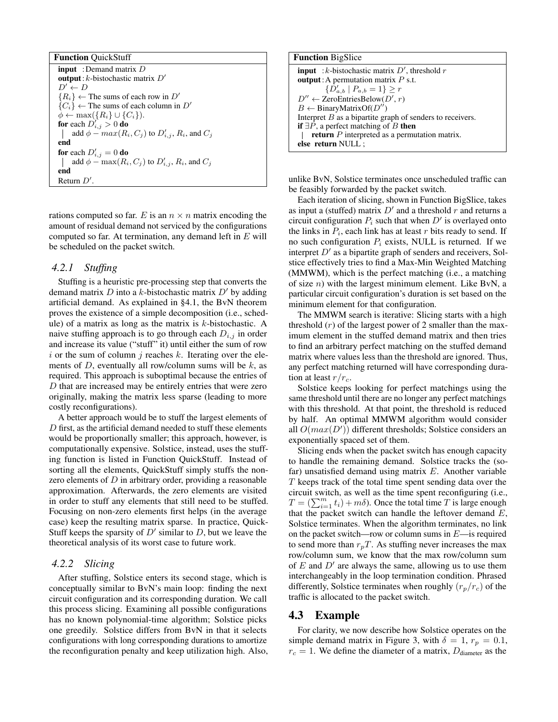rations computed so far. E is an  $n \times n$  matrix encoding the amount of residual demand not serviced by the configurations computed so far. At termination, any demand left in  $E$  will be scheduled on the packet switch.

#### *4.2.1 Stuffing*

Stuffing is a heuristic pre-processing step that converts the demand matrix  $D$  into a k-bistochastic matrix  $D'$  by adding artificial demand. As explained in §4.1, the BvN theorem proves the existence of a simple decomposition (i.e., schedule) of a matrix as long as the matrix is  $k$ -bistochastic. A naive stuffing approach is to go through each  $D_{i,j}$  in order and increase its value ("stuff" it) until either the sum of row i or the sum of column j reaches k. Iterating over the elements of  $D$ , eventually all row/column sums will be  $k$ , as required. This approach is suboptimal because the entries of D that are increased may be entirely entries that were zero originally, making the matrix less sparse (leading to more costly reconfigurations).

A better approach would be to stuff the largest elements of D first, as the artificial demand needed to stuff these elements would be proportionally smaller; this approach, however, is computationally expensive. Solstice, instead, uses the stuffing function is listed in Function QuickStuff. Instead of sorting all the elements, QuickStuff simply stuffs the nonzero elements of  $D$  in arbitrary order, providing a reasonable approximation. Afterwards, the zero elements are visited in order to stuff any elements that still need to be stuffed. Focusing on non-zero elements first helps (in the average case) keep the resulting matrix sparse. In practice, Quick-Stuff keeps the sparsity of  $D'$  similar to  $D$ , but we leave the theoretical analysis of its worst case to future work.

#### *4.2.2 Slicing*

After stuffing, Solstice enters its second stage, which is conceptually similar to BvN's main loop: finding the next circuit configuration and its corresponding duration. We call this process slicing. Examining all possible configurations has no known polynomial-time algorithm; Solstice picks one greedily. Solstice differs from BvN in that it selects configurations with long corresponding durations to amortize the reconfiguration penalty and keep utilization high. Also,

| <b>Function</b> BigSlice                                    |  |  |
|-------------------------------------------------------------|--|--|
| <b>input</b> : k-bistochastic matrix $D'$ , threshold r     |  |  |
| <b>output</b> : A permutation matrix $P$ s.t.               |  |  |
| $\{D'_{a,b} \mid P_{a,b}=1\} \geq r$                        |  |  |
| $D'' \leftarrow$ ZeroEntriesBelow( $D', r$ )                |  |  |
| $B \leftarrow$ BinaryMatrixOf( $D''$ )                      |  |  |
| Interpret $B$ as a bipartite graph of senders to receivers. |  |  |
| if $\exists P$ , a perfect matching of B then               |  |  |
| <b>return</b> $P$ interpreted as a permutation matrix.      |  |  |
| else return NULL ;                                          |  |  |

unlike BvN, Solstice terminates once unscheduled traffic can be feasibly forwarded by the packet switch.

Each iteration of slicing, shown in Function BigSlice, takes as input a (stuffed) matrix  $D'$  and a threshold r and returns a circuit configuration  $P_i$  such that when  $D'$  is overlayed onto the links in  $P_i$ , each link has at least  $r$  bits ready to send. If no such configuration  $P_i$  exists, NULL is returned. If we interpret  $D'$  as a bipartite graph of senders and receivers, Solstice effectively tries to find a Max-Min Weighted Matching (MMWM), which is the perfect matching (i.e., a matching of size  $n$ ) with the largest minimum element. Like BvN, a particular circuit configuration's duration is set based on the minimum element for that configuration.

The MMWM search is iterative: Slicing starts with a high threshold  $(r)$  of the largest power of 2 smaller than the maximum element in the stuffed demand matrix and then tries to find an arbitrary perfect matching on the stuffed demand matrix where values less than the threshold are ignored. Thus, any perfect matching returned will have corresponding duration at least  $r/r_c$ .

Solstice keeps looking for perfect matchings using the same threshold until there are no longer any perfect matchings with this threshold. At that point, the threshold is reduced by half. An optimal MMWM algorithm would consider all  $O(max(D'))$  different thresholds; Solstice considers an exponentially spaced set of them.

Slicing ends when the packet switch has enough capacity to handle the remaining demand. Solstice tracks the (sofar) unsatisfied demand using matrix  $E$ . Another variable T keeps track of the total time spent sending data over the circuit switch, as well as the time spent reconfiguring (i.e.,  $T = (\sum_{i=1}^{m} t_i) + m\delta$ ). Once the total time T is large enough that the packet switch can handle the leftover demand  $E$ , Solstice terminates. When the algorithm terminates, no link on the packet switch—row or column sums in  $E$ —is required to send more than  $r_pT$ . As stuffing never increases the max row/column sum, we know that the max row/column sum of  $E$  and  $D'$  are always the same, allowing us to use them interchangeably in the loop termination condition. Phrased differently, Solstice terminates when roughly  $(r_p/r_c)$  of the traffic is allocated to the packet switch.

#### 4.3 Example

For clarity, we now describe how Solstice operates on the simple demand matrix in Figure 3, with  $\delta = 1$ ,  $r_p = 0.1$ ,  $r_c = 1$ . We define the diameter of a matrix,  $D_{\text{diameter}}$  as the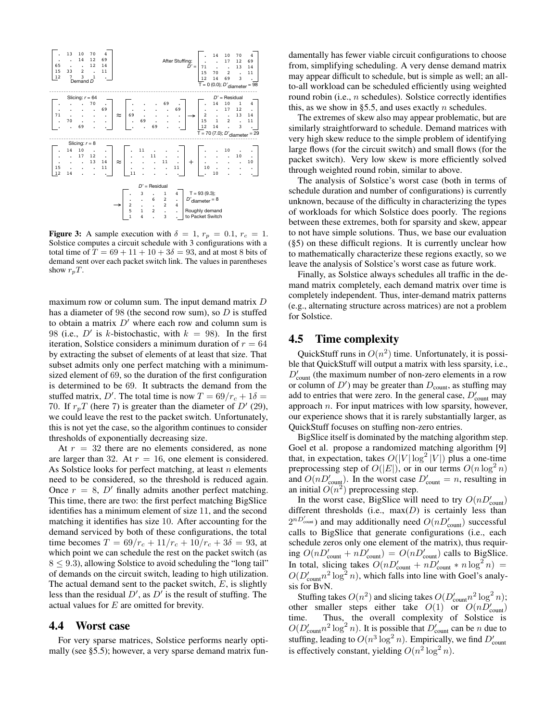

Figure 3: A sample execution with  $\delta = 1$ ,  $r_p = 0.1$ ,  $r_c = 1$ . Solstice computes a circuit schedule with 3 configurations with a total time of  $T = 69 + 11 + 10 + 3\delta = 93$ , and at most 8 bits of demand sent over each packet switch link. The values in parentheses show  $r_pT$ .

maximum row or column sum. The input demand matrix D has a diameter of 98 (the second row sum), so  $D$  is stuffed to obtain a matrix  $D'$  where each row and column sum is 98 (i.e.,  $D'$  is k-bistochastic, with  $k = 98$ ). In the first iteration, Solstice considers a minimum duration of  $r = 64$ by extracting the subset of elements of at least that size. That subset admits only one perfect matching with a minimumsized element of 69, so the duration of the first configuration is determined to be 69. It subtracts the demand from the stuffed matrix, D'. The total time is now  $T = \frac{69}{r_c} + 1\delta =$ 70. If  $r_p T$  (here 7) is greater than the diameter of  $D'$  (29), we could leave the rest to the packet switch. Unfortunately, this is not yet the case, so the algorithm continues to consider thresholds of exponentially decreasing size.

At  $r = 32$  there are no elements considered, as none are larger than 32. At  $r = 16$ , one element is considered. As Solstice looks for perfect matching, at least  $n$  elements need to be considered, so the threshold is reduced again. Once  $r = 8$ , D' finally admits another perfect matching. This time, there are two: the first perfect matching BigSlice identifies has a minimum element of size 11, and the second matching it identifies has size 10. After accounting for the demand serviced by both of these configurations, the total time becomes  $T = \frac{69}{r_c} + \frac{11}{r_c} + \frac{10}{r_c} + \frac{3\delta}{10} = 93$ , at which point we can schedule the rest on the packet switch (as  $8 < 9.3$ ), allowing Solstice to avoid scheduling the "long tail" of demands on the circuit switch, leading to high utilization. The actual demand sent to the packet switch,  $E$ , is slightly less than the residual  $D'$ , as  $D'$  is the result of stuffing. The actual values for E are omitted for brevity.

## 4.4 Worst case

For very sparse matrices, Solstice performs nearly optimally (see §5.5); however, a very sparse demand matrix fundamentally has fewer viable circuit configurations to choose from, simplifying scheduling. A very dense demand matrix may appear difficult to schedule, but is simple as well; an allto-all workload can be scheduled efficiently using weighted round robin (i.e., *n* schedules). Solstice correctly identifies this, as we show in §5.5, and uses exactly  $n$  schedules.

The extremes of skew also may appear problematic, but are similarly straightforward to schedule. Demand matrices with very high skew reduce to the simple problem of identifying large flows (for the circuit switch) and small flows (for the packet switch). Very low skew is more efficiently solved through weighted round robin, similar to above.

The analysis of Solstice's worst case (both in terms of schedule duration and number of configurations) is currently unknown, because of the difficulty in characterizing the types of workloads for which Solstice does poorly. The regions between these extremes, both for sparsity and skew, appear to not have simple solutions. Thus, we base our evaluation (§5) on these difficult regions. It is currently unclear how to mathematically characterize these regions exactly, so we leave the analysis of Solstice's worst case as future work.

Finally, as Solstice always schedules all traffic in the demand matrix completely, each demand matrix over time is completely independent. Thus, inter-demand matrix patterns (e.g., alternating structure across matrices) are not a problem for Solstice.

#### 4.5 Time complexity

QuickStuff runs in  $O(n^2)$  time. Unfortunately, it is possible that QuickStuff will output a matrix with less sparsity, i.e.,  $D'_{\text{count}}$  (the maximum number of non-zero elements in a row or column of  $D'$ ) may be greater than  $D_{\text{count}}$ , as stuffing may add to entries that were zero. In the general case,  $D'_{\text{count}}$  may approach  $n$ . For input matrices with low sparsity, however, our experience shows that it is rarely substantially larger, as QuickStuff focuses on stuffing non-zero entries.

BigSlice itself is dominated by the matching algorithm step. Goel et al. propose a randomized matching algorithm [9] that, in expectation, takes  $O(|V| \log^2 |V|)$  plus a one-time preprocessing step of  $O(|E|)$ , or in our terms  $O(n \log^2 n)$ and  $O(nD'_{\text{coun}})$ . In the worst case  $D'_{\text{count}} = n$ , resulting in an initial  $O(n^2)$  preprocessing step.

In the worst case, BigSlice will need to try  $O(nD'_{\text{count}})$ different thresholds (i.e.,  $max(D)$  is certainly less than  $2^{nD'_{\text{count}}}$ ) and may additionally need  $O(nD'_{\text{count}})$  successful calls to BigSlice that generate configurations (i.e., each schedule zeros only one element of the matrix), thus requiring  $O(nD'_{\text{count}} + nD'_{\text{count}}) = O(nD'_{\text{count}})$  calls to BigSlice. In total, slicing takes  $O(nD'_{\text{count}} + nD'_{\text{count}} * n\log^2 n)$  =  $O(D'_{\text{count}} n^2 \log^2 n)$ , which falls into line with Goel's analysis for BvN.

Stuffing takes  $O(n^2)$  and slicing takes  $O(D'_{\text{count}} n^2 \log^2 n)$ ; other smaller steps either take  $O(1)$  or  $O(nD'_{\text{count}})$ time. Thus, the overall complexity of Solstice is  $O(D'_{\text{count}} n^2 \log^2 n)$ . It is possible that  $D'_{\text{count}}$  can be n due to stuffing, leading to  $O(n^3 \log^2 n)$ . Empirically, we find  $D'_{\text{count}}$ is effectively constant, yielding  $O(n^2 \log^2 n)$ .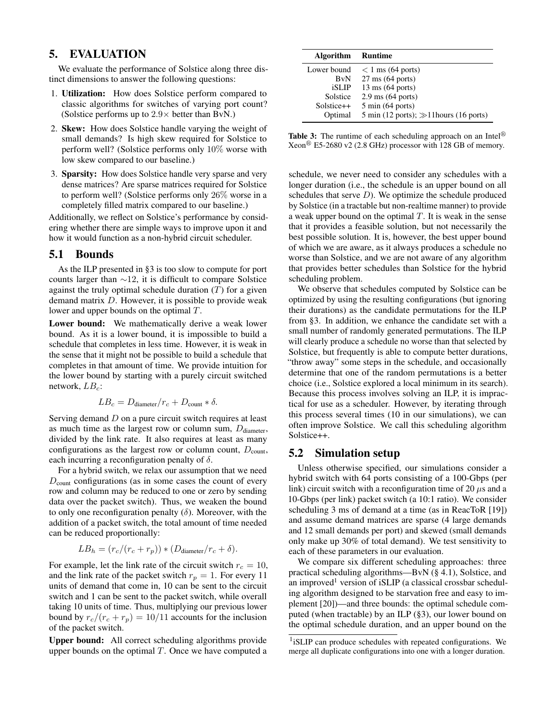# 5. EVALUATION

We evaluate the performance of Solstice along three distinct dimensions to answer the following questions:

- 1. Utilization: How does Solstice perform compared to classic algorithms for switches of varying port count? (Solstice performs up to  $2.9\times$  better than BvN.)
- 2. Skew: How does Solstice handle varying the weight of small demands? Is high skew required for Solstice to perform well? (Solstice performs only 10% worse with low skew compared to our baseline.)
- 3. Sparsity: How does Solstice handle very sparse and very dense matrices? Are sparse matrices required for Solstice to perform well? (Solstice performs only 26% worse in a completely filled matrix compared to our baseline.)

Additionally, we reflect on Solstice's performance by considering whether there are simple ways to improve upon it and how it would function as a non-hybrid circuit scheduler.

## 5.1 Bounds

As the ILP presented in §3 is too slow to compute for port counts larger than ∼12, it is difficult to compare Solstice against the truly optimal schedule duration  $(T)$  for a given demand matrix D. However, it is possible to provide weak lower and upper bounds on the optimal T.

Lower bound: We mathematically derive a weak lower bound. As it is a lower bound, it is impossible to build a schedule that completes in less time. However, it is weak in the sense that it might not be possible to build a schedule that completes in that amount of time. We provide intuition for the lower bound by starting with a purely circuit switched network,  $LB_c$ :

$$
LB_c = D_{\text{diameter}}/r_c + D_{\text{count}} * \delta.
$$

Serving demand D on a pure circuit switch requires at least as much time as the largest row or column sum,  $D_{\text{diameter}}$ , divided by the link rate. It also requires at least as many configurations as the largest row or column count,  $D_{\text{count}}$ , each incurring a reconfiguration penalty of  $\delta$ .

For a hybrid switch, we relax our assumption that we need  $D_{\text{count}}$  configurations (as in some cases the count of every row and column may be reduced to one or zero by sending data over the packet switch). Thus, we weaken the bound to only one reconfiguration penalty  $(\delta)$ . Moreover, with the addition of a packet switch, the total amount of time needed can be reduced proportionally:

$$
LB_h = (r_c/(r_c + r_p)) * (D_{\text{diameter}}/r_c + \delta).
$$

For example, let the link rate of the circuit switch  $r_c = 10$ , and the link rate of the packet switch  $r_p = 1$ . For every 11 units of demand that come in, 10 can be sent to the circuit switch and 1 can be sent to the packet switch, while overall taking 10 units of time. Thus, multiplying our previous lower bound by  $r_c/(r_c + r_p) = 10/11$  accounts for the inclusion of the packet switch.

Upper bound: All correct scheduling algorithms provide upper bounds on the optimal  $T$ . Once we have computed a

| <b>Algorithm</b> | Runtime                                     |
|------------------|---------------------------------------------|
| Lower bound      | $<$ 1 ms (64 ports)                         |
| <b>BvN</b>       | $27 \text{ ms}$ (64 ports)                  |
| iSLIP            | $13 \text{ ms}$ (64 ports)                  |
| Solstice         | $2.9 \text{ ms}$ (64 ports)                 |
| $Solstice++$     | $5 \text{ min} (64 \text{ ports})$          |
| Optimal          | 5 min (12 ports); $\gg$ 11 hours (16 ports) |

Table 3: The runtime of each scheduling approach on an Intel<sup>®</sup>  $Xeon<sup>®</sup>$  E5-2680 v2 (2.8 GHz) processor with 128 GB of memory.

schedule, we never need to consider any schedules with a longer duration (i.e., the schedule is an upper bound on all schedules that serve  $D$ ). We optimize the schedule produced by Solstice (in a tractable but non-realtime manner) to provide a weak upper bound on the optimal  $T$ . It is weak in the sense that it provides a feasible solution, but not necessarily the best possible solution. It is, however, the best upper bound of which we are aware, as it always produces a schedule no worse than Solstice, and we are not aware of any algorithm that provides better schedules than Solstice for the hybrid scheduling problem.

We observe that schedules computed by Solstice can be optimized by using the resulting configurations (but ignoring their durations) as the candidate permutations for the ILP from §3. In addition, we enhance the candidate set with a small number of randomly generated permutations. The ILP will clearly produce a schedule no worse than that selected by Solstice, but frequently is able to compute better durations, "throw away" some steps in the schedule, and occasionally determine that one of the random permutations is a better choice (i.e., Solstice explored a local minimum in its search). Because this process involves solving an ILP, it is impractical for use as a scheduler. However, by iterating through this process several times (10 in our simulations), we can often improve Solstice. We call this scheduling algorithm Solstice++.

### 5.2 Simulation setup

Unless otherwise specified, our simulations consider a hybrid switch with 64 ports consisting of a 100-Gbps (per link) circuit switch with a reconfiguration time of 20  $\mu$ s and a 10-Gbps (per link) packet switch (a 10:1 ratio). We consider scheduling 3 ms of demand at a time (as in ReacToR [19]) and assume demand matrices are sparse (4 large demands and 12 small demands per port) and skewed (small demands only make up 30% of total demand). We test sensitivity to each of these parameters in our evaluation.

We compare six different scheduling approaches: three practical scheduling algorithms—BvN (§ 4.1), Solstice, and an improved<sup>1</sup> version of iSLIP (a classical crossbar scheduling algorithm designed to be starvation free and easy to implement [20])—and three bounds: the optimal schedule computed (when tractable) by an ILP (§3), our lower bound on the optimal schedule duration, and an upper bound on the

<sup>&</sup>lt;sup>1</sup>iSLIP can produce schedules with repeated configurations. We merge all duplicate configurations into one with a longer duration.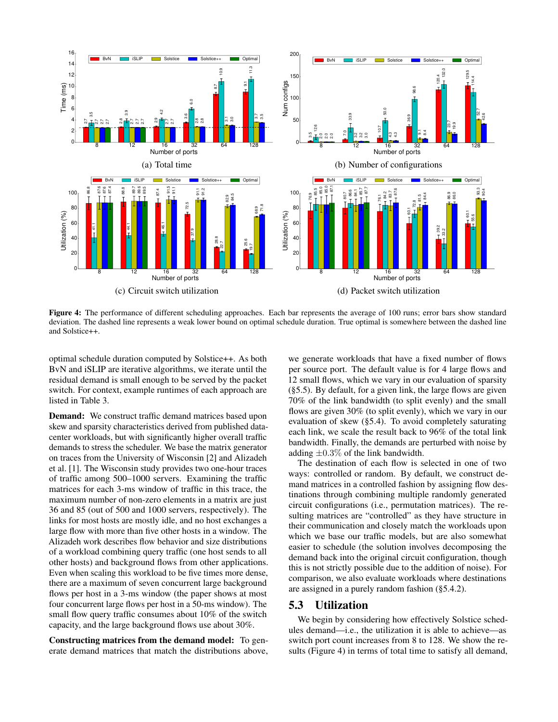

Figure 4: The performance of different scheduling approaches. Each bar represents the average of 100 runs; error bars show standard deviation. The dashed line represents a weak lower bound on optimal schedule duration. True optimal is somewhere between the dashed line and Solstice++.

optimal schedule duration computed by Solstice++. As both BvN and iSLIP are iterative algorithms, we iterate until the residual demand is small enough to be served by the packet switch. For context, example runtimes of each approach are listed in Table 3.

Demand: We construct traffic demand matrices based upon skew and sparsity characteristics derived from published datacenter workloads, but with significantly higher overall traffic demands to stress the scheduler. We base the matrix generator on traces from the University of Wisconsin [2] and Alizadeh et al. [1]. The Wisconsin study provides two one-hour traces of traffic among 500–1000 servers. Examining the traffic matrices for each 3-ms window of traffic in this trace, the maximum number of non-zero elements in a matrix are just 36 and 85 (out of 500 and 1000 servers, respectively). The links for most hosts are mostly idle, and no host exchanges a large flow with more than five other hosts in a window. The Alizadeh work describes flow behavior and size distributions of a workload combining query traffic (one host sends to all other hosts) and background flows from other applications. Even when scaling this workload to be five times more dense, there are a maximum of seven concurrent large background flows per host in a 3-ms window (the paper shows at most four concurrent large flows per host in a 50-ms window). The small flow query traffic consumes about 10% of the switch capacity, and the large background flows use about 30%.

Constructing matrices from the demand model: To generate demand matrices that match the distributions above, we generate workloads that have a fixed number of flows per source port. The default value is for 4 large flows and 12 small flows, which we vary in our evaluation of sparsity (§5.5). By default, for a given link, the large flows are given 70% of the link bandwidth (to split evenly) and the small flows are given 30% (to split evenly), which we vary in our evaluation of skew (§5.4). To avoid completely saturating each link, we scale the result back to 96% of the total link bandwidth. Finally, the demands are perturbed with noise by adding  $\pm 0.3\%$  of the link bandwidth.

The destination of each flow is selected in one of two ways: controlled or random. By default, we construct demand matrices in a controlled fashion by assigning flow destinations through combining multiple randomly generated circuit configurations (i.e., permutation matrices). The resulting matrices are "controlled" as they have structure in their communication and closely match the workloads upon which we base our traffic models, but are also somewhat easier to schedule (the solution involves decomposing the demand back into the original circuit configuration, though this is not strictly possible due to the addition of noise). For comparison, we also evaluate workloads where destinations are assigned in a purely random fashion (§5.4.2).

# 5.3 Utilization

We begin by considering how effectively Solstice schedules demand—i.e., the utilization it is able to achieve—as switch port count increases from 8 to 128. We show the results (Figure 4) in terms of total time to satisfy all demand,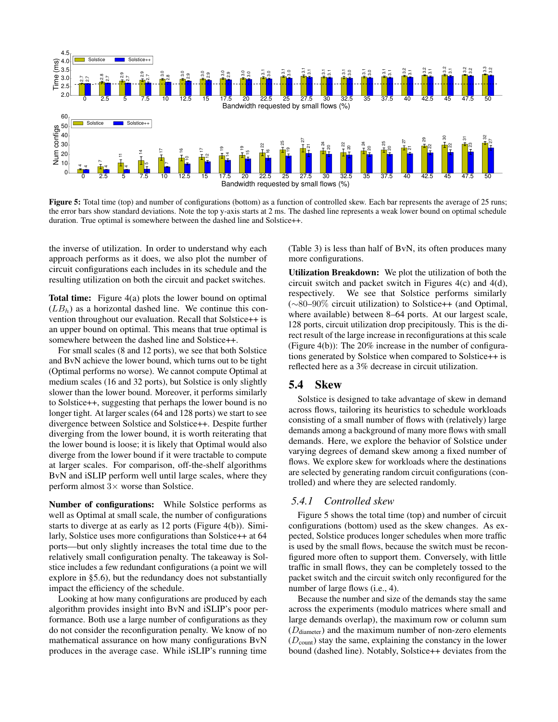

Figure 5: Total time (top) and number of configurations (bottom) as a function of controlled skew. Each bar represents the average of 25 runs; the error bars show standard deviations. Note the top y-axis starts at 2 ms. The dashed line represents a weak lower bound on optimal schedule duration. True optimal is somewhere between the dashed line and Solstice++.

the inverse of utilization. In order to understand why each approach performs as it does, we also plot the number of circuit configurations each includes in its schedule and the resulting utilization on both the circuit and packet switches.

**Total time:** Figure 4(a) plots the lower bound on optimal  $(LB<sub>h</sub>)$  as a horizontal dashed line. We continue this convention throughout our evaluation. Recall that Solstice++ is an upper bound on optimal. This means that true optimal is somewhere between the dashed line and Solstice++.

For small scales (8 and 12 ports), we see that both Solstice and BvN achieve the lower bound, which turns out to be tight (Optimal performs no worse). We cannot compute Optimal at medium scales (16 and 32 ports), but Solstice is only slightly slower than the lower bound. Moreover, it performs similarly to Solstice++, suggesting that perhaps the lower bound is no longer tight. At larger scales (64 and 128 ports) we start to see divergence between Solstice and Solstice++. Despite further diverging from the lower bound, it is worth reiterating that the lower bound is loose; it is likely that Optimal would also diverge from the lower bound if it were tractable to compute at larger scales. For comparison, off-the-shelf algorithms BvN and iSLIP perform well until large scales, where they perform almost  $3\times$  worse than Solstice.

Number of configurations: While Solstice performs as well as Optimal at small scale, the number of configurations starts to diverge at as early as 12 ports (Figure 4(b)). Similarly, Solstice uses more configurations than Solstice++ at 64 ports—but only slightly increases the total time due to the relatively small configuration penalty. The takeaway is Solstice includes a few redundant configurations (a point we will explore in §5.6), but the redundancy does not substantially impact the efficiency of the schedule.

Looking at how many configurations are produced by each algorithm provides insight into BvN and iSLIP's poor performance. Both use a large number of configurations as they do not consider the reconfiguration penalty. We know of no mathematical assurance on how many configurations BvN produces in the average case. While iSLIP's running time

(Table 3) is less than half of BvN, its often produces many more configurations.

Utilization Breakdown: We plot the utilization of both the circuit switch and packet switch in Figures 4(c) and 4(d), respectively. We see that Solstice performs similarly (∼80–90% circuit utilization) to Solstice++ (and Optimal, where available) between 8–64 ports. At our largest scale, 128 ports, circuit utilization drop precipitously. This is the direct result of the large increase in reconfigurations at this scale (Figure 4(b)): The 20% increase in the number of configurations generated by Solstice when compared to Solstice++ is reflected here as a 3% decrease in circuit utilization.

#### 5.4 Skew

Solstice is designed to take advantage of skew in demand across flows, tailoring its heuristics to schedule workloads consisting of a small number of flows with (relatively) large demands among a background of many more flows with small demands. Here, we explore the behavior of Solstice under varying degrees of demand skew among a fixed number of flows. We explore skew for workloads where the destinations are selected by generating random circuit configurations (controlled) and where they are selected randomly.

# *5.4.1 Controlled skew*

Figure 5 shows the total time (top) and number of circuit configurations (bottom) used as the skew changes. As expected, Solstice produces longer schedules when more traffic is used by the small flows, because the switch must be reconfigured more often to support them. Conversely, with little traffic in small flows, they can be completely tossed to the packet switch and the circuit switch only reconfigured for the number of large flows (i.e., 4).

Because the number and size of the demands stay the same across the experiments (modulo matrices where small and large demands overlap), the maximum row or column sum  $(D_{\text{diameter}})$  and the maximum number of non-zero elements  $(D_{\text{count}})$  stay the same, explaining the constancy in the lower bound (dashed line). Notably, Solstice++ deviates from the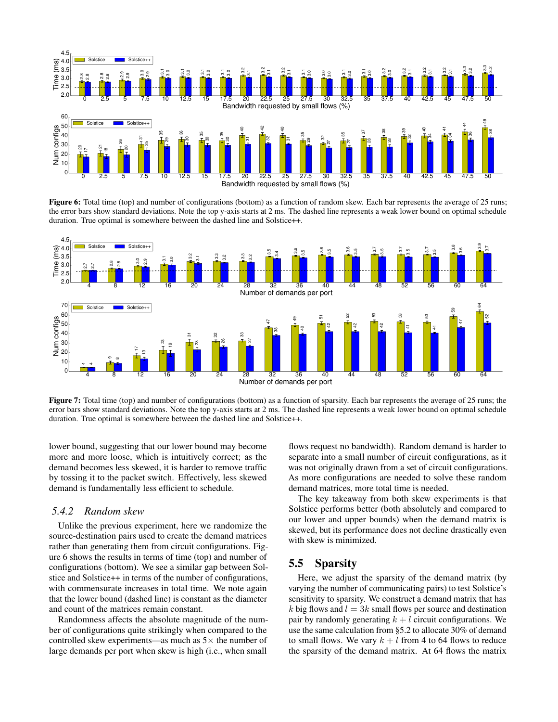

Figure 6: Total time (top) and number of configurations (bottom) as a function of random skew. Each bar represents the average of 25 runs; the error bars show standard deviations. Note the top y-axis starts at 2 ms. The dashed line represents a weak lower bound on optimal schedule duration. True optimal is somewhere between the dashed line and Solstice++.



Figure 7: Total time (top) and number of configurations (bottom) as a function of sparsity. Each bar represents the average of 25 runs; the error bars show standard deviations. Note the top y-axis starts at 2 ms. The dashed line represents a weak lower bound on optimal schedule duration. True optimal is somewhere between the dashed line and Solstice++.

lower bound, suggesting that our lower bound may become more and more loose, which is intuitively correct; as the demand becomes less skewed, it is harder to remove traffic by tossing it to the packet switch. Effectively, less skewed demand is fundamentally less efficient to schedule.

#### *5.4.2 Random skew*

Unlike the previous experiment, here we randomize the source-destination pairs used to create the demand matrices rather than generating them from circuit configurations. Figure 6 shows the results in terms of time (top) and number of configurations (bottom). We see a similar gap between Solstice and Solstice++ in terms of the number of configurations, with commensurate increases in total time. We note again that the lower bound (dashed line) is constant as the diameter and count of the matrices remain constant.

Randomness affects the absolute magnitude of the number of configurations quite strikingly when compared to the controlled skew experiments—as much as  $5\times$  the number of large demands per port when skew is high (i.e., when small

flows request no bandwidth). Random demand is harder to separate into a small number of circuit configurations, as it was not originally drawn from a set of circuit configurations. As more configurations are needed to solve these random demand matrices, more total time is needed.

The key takeaway from both skew experiments is that Solstice performs better (both absolutely and compared to our lower and upper bounds) when the demand matrix is skewed, but its performance does not decline drastically even with skew is minimized.

## 5.5 Sparsity

Here, we adjust the sparsity of the demand matrix (by varying the number of communicating pairs) to test Solstice's sensitivity to sparsity. We construct a demand matrix that has k big flows and  $l = 3k$  small flows per source and destination pair by randomly generating  $k + l$  circuit configurations. We use the same calculation from §5.2 to allocate 30% of demand to small flows. We vary  $k + l$  from 4 to 64 flows to reduce the sparsity of the demand matrix. At 64 flows the matrix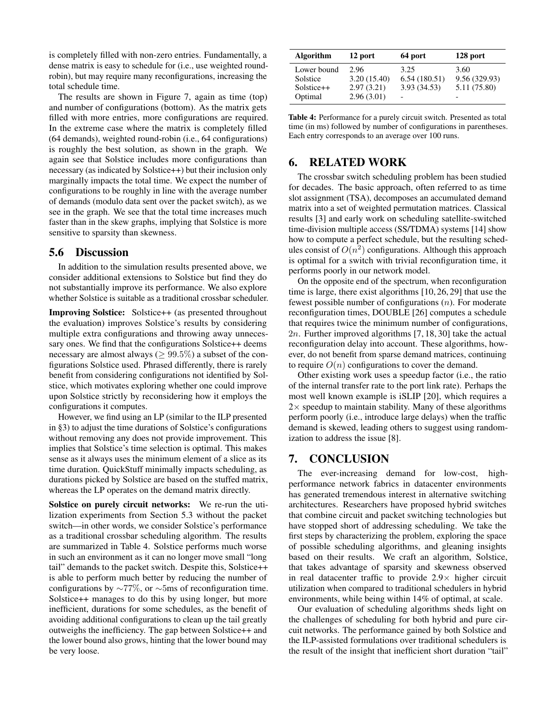is completely filled with non-zero entries. Fundamentally, a dense matrix is easy to schedule for (i.e., use weighted roundrobin), but may require many reconfigurations, increasing the total schedule time.

The results are shown in Figure 7, again as time (top) and number of configurations (bottom). As the matrix gets filled with more entries, more configurations are required. In the extreme case where the matrix is completely filled (64 demands), weighted round-robin (i.e., 64 configurations) is roughly the best solution, as shown in the graph. We again see that Solstice includes more configurations than necessary (as indicated by Solstice++) but their inclusion only marginally impacts the total time. We expect the number of configurations to be roughly in line with the average number of demands (modulo data sent over the packet switch), as we see in the graph. We see that the total time increases much faster than in the skew graphs, implying that Solstice is more sensitive to sparsity than skewness.

#### 5.6 Discussion

In addition to the simulation results presented above, we consider additional extensions to Solstice but find they do not substantially improve its performance. We also explore whether Solstice is suitable as a traditional crossbar scheduler.

Improving Solstice: Solstice++ (as presented throughout the evaluation) improves Solstice's results by considering multiple extra configurations and throwing away unnecessary ones. We find that the configurations Solstice++ deems necessary are almost always ( $\geq 99.5\%$ ) a subset of the configurations Solstice used. Phrased differently, there is rarely benefit from considering configurations not identified by Solstice, which motivates exploring whether one could improve upon Solstice strictly by reconsidering how it employs the configurations it computes.

However, we find using an LP (similar to the ILP presented in §3) to adjust the time durations of Solstice's configurations without removing any does not provide improvement. This implies that Solstice's time selection is optimal. This makes sense as it always uses the minimum element of a slice as its time duration. QuickStuff minimally impacts scheduling, as durations picked by Solstice are based on the stuffed matrix, whereas the LP operates on the demand matrix directly.

Solstice on purely circuit networks: We re-run the utilization experiments from Section 5.3 without the packet switch—in other words, we consider Solstice's performance as a traditional crossbar scheduling algorithm. The results are summarized in Table 4. Solstice performs much worse in such an environment as it can no longer move small "long tail" demands to the packet switch. Despite this, Solstice++ is able to perform much better by reducing the number of configurations by ∼77%, or ∼5ms of reconfiguration time. Solstice++ manages to do this by using longer, but more inefficient, durations for some schedules, as the benefit of avoiding additional configurations to clean up the tail greatly outweighs the inefficiency. The gap between Solstice++ and the lower bound also grows, hinting that the lower bound may be very loose.

| <b>Algorithm</b> | 12 port     | 64 port      | 128 port      |
|------------------|-------------|--------------|---------------|
| Lower bound      | 2.96        | 3.25         | 3.60          |
| Solstice         | 3.20(15.40) | 6.54(180.51) | 9.56 (329.93) |
| $Solstice++$     | 2.97(3.21)  | 3.93 (34.53) | 5.11 (75.80)  |
| Optimal          | 2.96(3.01)  |              |               |

Table 4: Performance for a purely circuit switch. Presented as total time (in ms) followed by number of configurations in parentheses. Each entry corresponds to an average over 100 runs.

# 6. RELATED WORK

The crossbar switch scheduling problem has been studied for decades. The basic approach, often referred to as time slot assignment (TSA), decomposes an accumulated demand matrix into a set of weighted permutation matrices. Classical results [3] and early work on scheduling satellite-switched time-division multiple access (SS/TDMA) systems [14] show how to compute a perfect schedule, but the resulting schedules consist of  $O(n^2)$  configurations. Although this approach is optimal for a switch with trivial reconfiguration time, it performs poorly in our network model.

On the opposite end of the spectrum, when reconfiguration time is large, there exist algorithms [10, 26, 29] that use the fewest possible number of configurations (n). For moderate reconfiguration times, DOUBLE [26] computes a schedule that requires twice the minimum number of configurations, 2n. Further improved algorithms [7, 18, 30] take the actual reconfiguration delay into account. These algorithms, however, do not benefit from sparse demand matrices, continuing to require  $O(n)$  configurations to cover the demand.

Other existing work uses a speedup factor (i.e., the ratio of the internal transfer rate to the port link rate). Perhaps the most well known example is iSLIP [20], which requires a  $2\times$  speedup to maintain stability. Many of these algorithms perform poorly (i.e., introduce large delays) when the traffic demand is skewed, leading others to suggest using randomization to address the issue [8].

# 7. CONCLUSION

The ever-increasing demand for low-cost, highperformance network fabrics in datacenter environments has generated tremendous interest in alternative switching architectures. Researchers have proposed hybrid switches that combine circuit and packet switching technologies but have stopped short of addressing scheduling. We take the first steps by characterizing the problem, exploring the space of possible scheduling algorithms, and gleaning insights based on their results. We craft an algorithm, Solstice, that takes advantage of sparsity and skewness observed in real datacenter traffic to provide  $2.9\times$  higher circuit utilization when compared to traditional schedulers in hybrid environments, while being within 14% of optimal, at scale.

Our evaluation of scheduling algorithms sheds light on the challenges of scheduling for both hybrid and pure circuit networks. The performance gained by both Solstice and the ILP-assisted formulations over traditional schedulers is the result of the insight that inefficient short duration "tail"